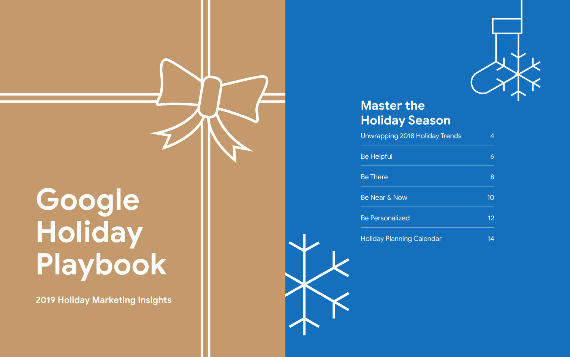### **Master the Holiday Season**

Unwrapping 2018 Holiday Tr

Be Helpful

| ends | 4              |
|------|----------------|
|      | 6              |
|      | $\overline{8}$ |
|      | 10             |
|      | 12             |
|      | 14             |

Be There

Be Near & Now

Be Personalized

**Holiday Planning Calendar** 



# **Google Holiday Playbook**

**2019 Holiday Marketing Insights**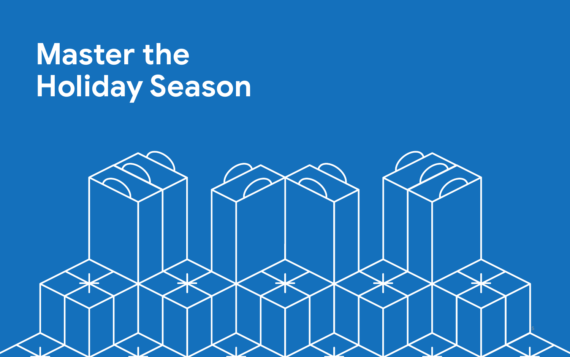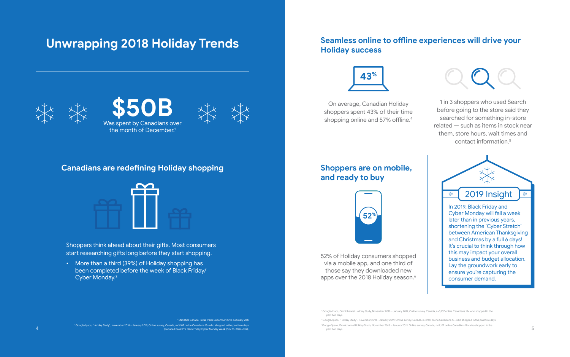### **Unwrapping 2018 Holiday Trends**

1 Statistics Canada, Retail Trade December 2018, February 2019

2 Google/Ipsos, "Holiday Study", November 2018 – January 2019, Online survey, Canada, n=3,107 online Canadians 18+ who shopped in the past two days. [Reduced base: Pre Black Friday/Cyber Monday Week (Nov 15-21) (n=332).]

### **Canadians are redefining Holiday shopping**



Shoppers think ahead about their gifts. Most consumers start researching gifts long before they start shopping.

• More than a third (39%) of Holiday shopping has been completed before the week of Black Friday/ Cyber Monday.2

On average, Canadian Holiday shoppers spent 43% of their time shopping online and 57% offline.<sup>4</sup>



 Google/Ipsos, Omnichannel Holiday Study, November 2018 – January 2019, Online survey, Canada, n=3,107 online Canadians 18+ who shopped in the past two days

52% of Holiday consumers shopped via a mobile app, and one third of those say they downloaded new apps over the 2018 Holiday season.<sup>6</sup>

4 Google/Ipsos, "Holiday Study", November 2018 – January 2019, Online survey, Canada, n=3,107 online Canadians 18+ who shopped in the past two days. 5 Google/Ipsos, Omnichannel Holiday Study, November 2018 – January 2019, Online survey, Canada, n=3,107 online Canadians 18+ who shopped in the past two days

### **Seamless online to offline experiences will drive your Holiday success**



1 in 3 shoppers who used Search before going to the store said they searched for something in-store related — such as items in stock near them, store hours, wait times and contact information.5

### **Shoppers are on mobile, and ready to buy**





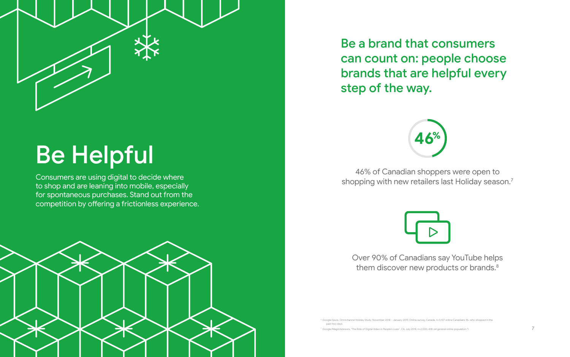

# Be Helpful

Consumers are using digital to decide where to shop and are leaning into mobile, especially for spontaneous purchases. Stand out from the competition by offering a frictionless experience.



6 Google/Ipsos, Omnichannel Holiday Study, November 2018 – January 2019, Online survey, Canada, n=3,107 online Canadians 18+ who shopped in the past two days

46% of Canadian shoppers were open to shopping with new retailers last Holiday season.<sup>7</sup>



Over 90% of Canadians say YouTube helps them discover new products or brands.<sup>8</sup>

7 Google/Magid Advisors, "The Role of Digital Video in People's Lives", CA, July 2018, n=2,000, A18-64 general online population.")



Be a brand that consumers can count on: people choose brands that are helpful every step of the way.

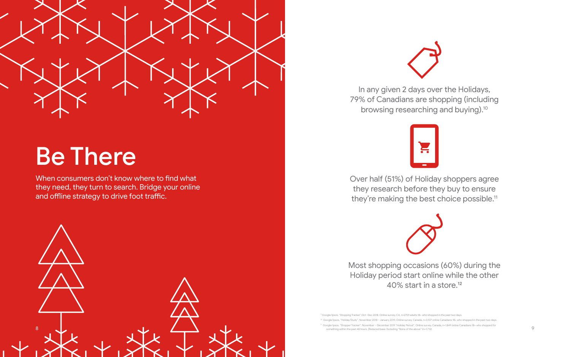

## Be There

When consumers don't know where to find what they need, they turn to search. Bridge your online and offline strategy to drive foot traffic.

Over half (51%) of Holiday shoppers agree they research before they buy to ensure they're making the best choice possible.<sup>11</sup>

In any given 2 days over the Holidays, 79% of Canadians are shopping (including browsing researching and buying).<sup>10</sup>



9 Google/Ipsos, "Shopping Tracker",Oct -Dec 2018, Online survey, CA, n=2759 adults 18+ who shopped in the past two days.  $\degree$  Google/Ipsos, "Holiday Study", November 2018 – January 2019, Online survey, Canada, n=3,107 online Canadians 18+ who shopped in the past two days 11 Google/Ipsos, "Shopper Tracker", November – December 2019 "Holiday Period", Online survey, Canada, n=1,849 online Canadians 18+ who shopped for something within the past 48 hours. [Reduced base: Excluding "None of the above" (n=1,712)

Most shopping occasions (60%) during the Holiday period start online while the other 40% start in a store.12



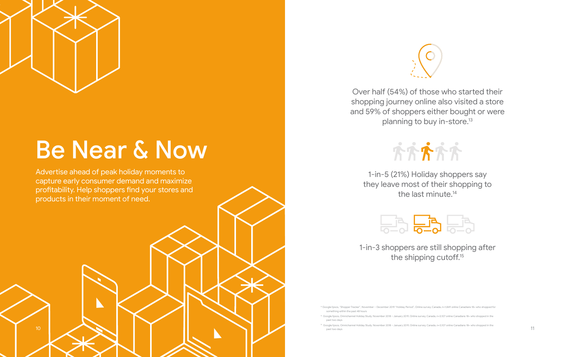# Be Near & Now

Advertise ahead of peak holiday moments to capture early consumer demand and maximize profitability. Help shoppers find your stores and products in their moment of need.



1-in-5 (21%) Holiday shoppers say they leave most of their shopping to the last minute.<sup>14</sup>



1-in-3 shoppers are still shopping after the shipping cutoff.<sup>15</sup>

Over half (54%) of those who started their shopping journey online also visited a store and 59% of shoppers either bought or were planning to buy in-store.13





10

<sup>12</sup> Google/Ipsos, "Shopper Tracker", November – December 2019 "Holiday Period", Online survey, Canada, n=1,849 online Canadians 18+ who shopped for something within the past 48 hours

<sup>13</sup> Google/Ipsos, Omnichannel Holiday Study, November 2018 – January 2019, Online survey, Canada, n=3,107 online Canadians 18+ who shopped in the past two days

<sup>14</sup> Google/Ipsos, Omnichannel Holiday Study, November 2018 – January 2019, Online survey, Canada, n=3,107 online Canadians 18+ who shopped in the past two days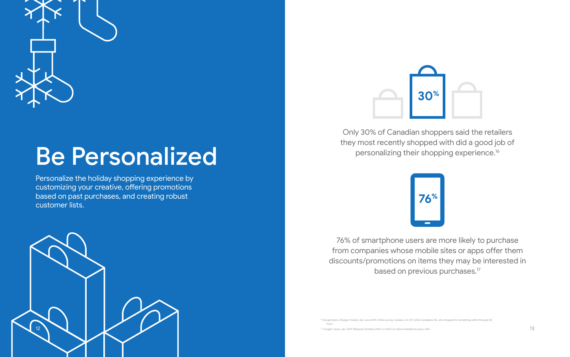

## Be Personalized

Personalize the holiday shopping experience by customizing your creative, offering promotions based on past purchases, and creating robust customer lists.

> 76% of smartphone users are more likely to purchase from companies whose mobile sites or apps offer them discounts/promotions on items they may be interested in based on previous purchases.<sup>17</sup>

15 Google/Ipsos, Shopper Tracker, Apr-June 2019, Online survey, Canada, n=2,737 online Canadians 18+ who shopped for something within the past 48 hours

<sup>16</sup> Google / Ipsos, Jan. 2019, Playbook Omnibus 2019, n=1,545 CA online smartphone users, A18+





Only 30% of Canadian shoppers said the retailers they most recently shopped with did a good job of personalizing their shopping experience.<sup>16</sup>



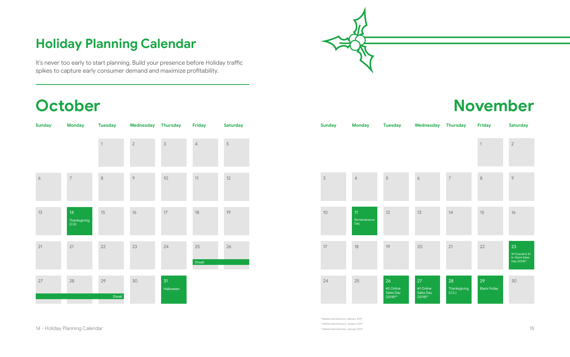

## **Holiday Planning Calendar**

## **October**

| <b>Sunday</b>   | <b>Monday</b>              |              | Tuesday Wednesday Thursday |                 | <b>Friday</b> | <b>Saturday</b> |
|-----------------|----------------------------|--------------|----------------------------|-----------------|---------------|-----------------|
|                 |                            | $\mathbf{1}$ | $\sqrt{2}$                 | $\mathsf 3$     | $\sqrt{4}$    | $\mathbf 5$     |
| $\acute{\circ}$ | $\overline{\phantom{a}}$   | $\,8\,$      | $\circ$                    | $10$            | 11            | $12\,$          |
| 13              | 14<br>Thanksgiving<br>(CA) | 15           | $16$                       | $17\,$          | $18\,$        | 19              |
| 21              | 21                         | 22           | 23                         | 24              | 25<br>Diwali  | $26\,$          |
| $27\,$          | 28                         | 29<br>Diwali | $30\,$                     | 31<br>Halloween |               |                 |

## **November**

|               |                          |                                                      |                                                      |                              | $\mathbf 1$               | $\overline{2}$           |
|---------------|--------------------------|------------------------------------------------------|------------------------------------------------------|------------------------------|---------------------------|--------------------------|
| $\mathcal{S}$ | $\sqrt{4}$               | $\overline{5}$                                       | $\acute{\circ}$                                      | $\overline{7}$               | 8                         | $\, \circ \,$            |
| 10            | 11<br>Remembrance<br>Day | 12                                                   | 13                                                   | 14                           | 15                        | $16$                     |
| 17            | 18                       | 19                                                   | 20                                                   | 21                           | 22                        | 23<br>#1C<br>In-S<br>Day |
| 24            | 25                       | 26<br>#2 Online<br>Sales Day<br>(2018) <sup>20</sup> | 27<br>#1 Online<br>Sales Day<br>(2018) <sup>21</sup> | 28<br>Thanksgiving<br>(U.S.) | 29<br><b>Black Friday</b> | 30                       |

It's never too early to start planning. Build your presence before Holiday traffic spikes to capture early consumer demand and maximize profitability.

| <b>Sunday</b> | <b>Monday</b>            | <b>Tuesday</b>                                | Wednesday                                     | <b>Thursday</b>              | <b>Friday</b>             | <b>Saturday</b>                                                     |
|---------------|--------------------------|-----------------------------------------------|-----------------------------------------------|------------------------------|---------------------------|---------------------------------------------------------------------|
|               |                          |                                               |                                               |                              | $\ensuremath{\mathsf{1}}$ | $\sqrt{2}$                                                          |
| $\mathsf 3$   | $\sqrt{4}$               | 5                                             | $\acute{\mathrm{o}}$                          | $\overline{\phantom{a}}$     | $\,8\,$                   | $\, \circ \,$                                                       |
| $10$          | 11<br>Remembrance<br>Day | 12                                            | 13                                            | 14                           | 15                        | 16                                                                  |
| 17            | 18                       | 19                                            | 20                                            | 21                           | 22                        | 23<br>#1 Overall & #1<br>In-Store Sales<br>Day (2018) <sup>19</sup> |
| 24            | 25                       | 26<br>#2 Online<br>Sales Day<br>$(2018)^{20}$ | 27<br>#1 Online<br>Sales Day<br>$(2018)^{21}$ | 28<br>Thanksgiving<br>(U.S.) | 29<br><b>Black Friday</b> | 30                                                                  |

17 Mastercard Advisors, January 2019 18 Mastercard Advisors, January 2019 19 Mastercard Advisors, January 2019

14 - Holiday Planning Calendar 15 and 2019 and 2019 and 2019 and 2019 and 2019 and 2019 and 2019 and 2019 and 2019 and 2019 and 2019 and 2019 and 2019 and 2019 and 2019 and 2019 and 2019 and 2019 and 2019 and 2019 and 2019